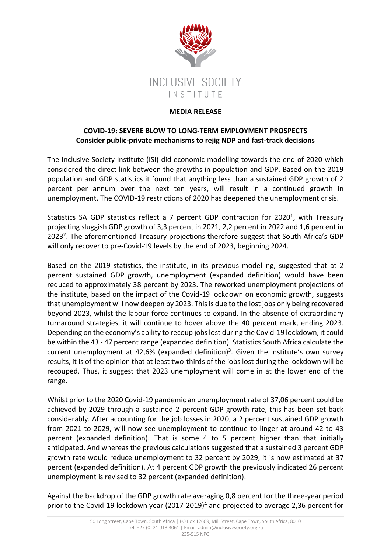

## **MEDIA RELEASE**

## **COVID-19: SEVERE BLOW TO LONG-TERM EMPLOYMENT PROSPECTS Consider public-private mechanisms to rejig NDP and fast-track decisions**

The Inclusive Society Institute (ISI) did economic modelling towards the end of 2020 which considered the direct link between the growths in population and GDP. Based on the 2019 population and GDP statistics it found that anything less than a sustained GDP growth of 2 percent per annum over the next ten years, will result in a continued growth in unemployment. The COVID-19 restrictions of 2020 has deepened the unemployment crisis.

Statistics SA GDP statistics reflect a 7 percent GDP contraction for 2020<sup>1</sup>, with Treasury projecting sluggish GDP growth of 3,3 percent in 2021, 2,2 percent in 2022 and 1,6 percent in 2023<sup>2</sup>. The aforementioned Treasury projections therefore suggest that South Africa's GDP will only recover to pre-Covid-19 levels by the end of 2023, beginning 2024.

Based on the 2019 statistics, the institute, in its previous modelling, suggested that at 2 percent sustained GDP growth, unemployment (expanded definition) would have been reduced to approximately 38 percent by 2023. The reworked unemployment projections of the institute, based on the impact of the Covid-19 lockdown on economic growth, suggests that unemployment will now deepen by 2023. This is due to the lost jobs only being recovered beyond 2023, whilst the labour force continues to expand. In the absence of extraordinary turnaround strategies, it will continue to hover above the 40 percent mark, ending 2023. Depending on the economy's ability to recoup jobs lost during the Covid-19 lockdown, it could be within the 43 - 47 percent range (expanded definition). Statistics South Africa calculate the current unemployment at 42,6% (expanded definition)<sup>3</sup>. Given the institute's own survey results, it is of the opinion that at least two-thirds of the jobs lost during the lockdown will be recouped. Thus, it suggest that 2023 unemployment will come in at the lower end of the range.

Whilst prior to the 2020 Covid-19 pandemic an unemployment rate of 37,06 percent could be achieved by 2029 through a sustained 2 percent GDP growth rate, this has been set back considerably. After accounting for the job losses in 2020, a 2 percent sustained GDP growth from 2021 to 2029, will now see unemployment to continue to linger at around 42 to 43 percent (expanded definition). That is some 4 to 5 percent higher than that initially anticipated. And whereas the previous calculations suggested that a sustained 3 percent GDP growth rate would reduce unemployment to 32 percent by 2029, it is now estimated at 37 percent (expanded definition). At 4 percent GDP growth the previously indicated 26 percent unemployment is revised to 32 percent (expanded definition).

Against the backdrop of the GDP growth rate averaging 0,8 percent for the three-year period prior to the Covid-19 lockdown year (2017-2019)<sup>4</sup> and projected to average 2,36 percent for